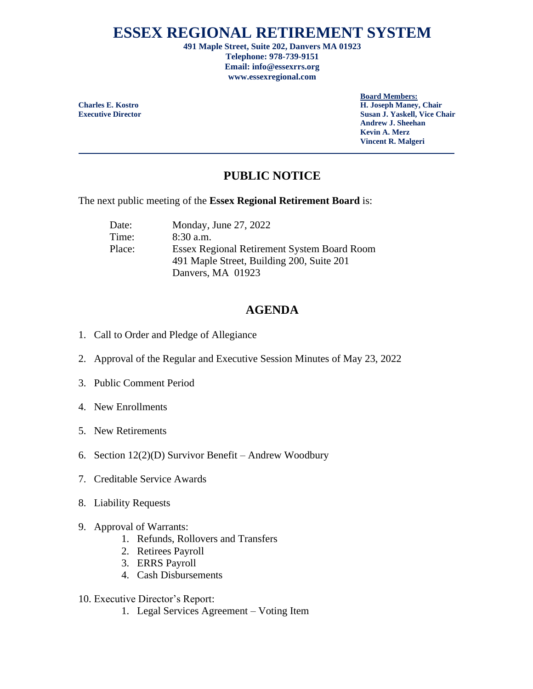## **ESSEX REGIONAL RETIREMENT SYSTEM**

**491 Maple Street, Suite 202, Danvers MA 01923 Telephone: 978-739-9151 Email: info@essexrrs.org www.essexregional.com**

**Board Members:**

**Charles E. Kostro H. Joseph Maney, Chair Executive Director Susan J. Yaskell, Vice Chair Andrew J. Sheehan Kevin A. Merz Vincent R. Malgeri**

## **PUBLIC NOTICE**

The next public meeting of the **Essex Regional Retirement Board** is:

Date: Monday, June 27, 2022 Time: 8:30 a.m. Place: Essex Regional Retirement System Board Room 491 Maple Street, Building 200, Suite 201 Danvers, MA 01923

## **AGENDA**

- 1. Call to Order and Pledge of Allegiance
- 2. Approval of the Regular and Executive Session Minutes of May 23, 2022
- 3. Public Comment Period
- 4. New Enrollments
- 5. New Retirements
- 6. Section 12(2)(D) Survivor Benefit Andrew Woodbury
- 7. Creditable Service Awards
- 8. Liability Requests
- 9. Approval of Warrants:
	- 1. Refunds, Rollovers and Transfers
	- 2. Retirees Payroll
	- 3. ERRS Payroll
	- 4. Cash Disbursements
- 10. Executive Director's Report:
	- 1. Legal Services Agreement Voting Item